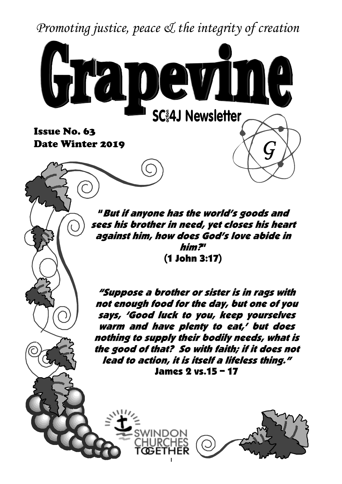*Promoting justice, peace & the integrity of creation*



**Date Winter 2019**

"But if anyone has the world's goods and sees his brother in need, yet closes his heart against him, how does God's love abide in him?" (1 John 3:17)

"Suppose a brother or sister is in rags with not enough food for the day, but one of you says, 'Good luck to you, keep yourselves warm and have plenty to eat,' but does nothing to supply their bodily needs, what is the good of that? So with faith; if it does not lead to action, it is itself a lifeless thing." James 2 vs.15 – 17

1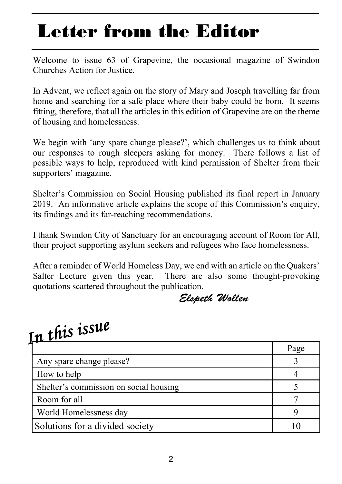### **Letter from the Editor**

Welcome to issue 63 of Grapevine, the occasional magazine of Swindon Churches Action for Justice.

In Advent, we reflect again on the story of Mary and Joseph travelling far from home and searching for a safe place where their baby could be born. It seems fitting, therefore, that all the articles in this edition of Grapevine are on the theme of housing and homelessness.

We begin with 'any spare change please?', which challenges us to think about our responses to rough sleepers asking for money. There follows a list of possible ways to help, reproduced with kind permission of Shelter from their supporters' magazine.

Shelter's Commission on Social Housing published its final report in January 2019. An informative article explains the scope of this Commission's enquiry, its findings and its far-reaching recommendations.

I thank Swindon City of Sanctuary for an encouraging account of Room for All, their project supporting asylum seekers and refugees who face homelessness.

After a reminder of World Homeless Day, we end with an article on the Quakers' Salter Lecture given this year. There are also some thought-provoking quotations scattered throughout the publication.

*Elspeth Wollen*

| In this issue                          |      |
|----------------------------------------|------|
|                                        | Page |
| Any spare change please?               |      |
| How to help                            |      |
| Shelter's commission on social housing |      |
| Room for all                           |      |
| World Homelessness day                 |      |
| Solutions for a divided society        |      |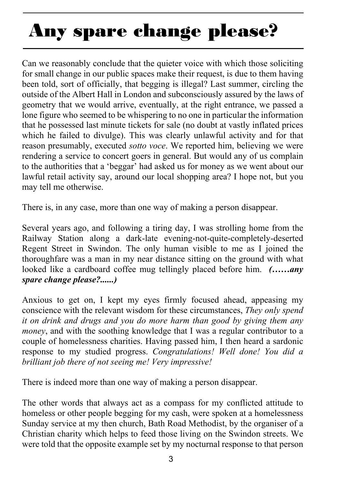# **Any spare change please?**

Can we reasonably conclude that the quieter voice with which those soliciting for small change in our public spaces make their request, is due to them having been told, sort of officially, that begging is illegal? Last summer, circling the outside of the Albert Hall in London and subconsciously assured by the laws of geometry that we would arrive, eventually, at the right entrance, we passed a lone figure who seemed to be whispering to no one in particular the information that he possessed last minute tickets for sale (no doubt at vastly inflated prices which he failed to divulge). This was clearly unlawful activity and for that reason presumably, executed *sotto voce*. We reported him, believing we were rendering a service to concert goers in general. But would any of us complain to the authorities that a 'beggar' had asked us for money as we went about our lawful retail activity say, around our local shopping area? I hope not, but you may tell me otherwise.

There is, in any case, more than one way of making a person disappear.

Several years ago, and following a tiring day, I was strolling home from the Railway Station along a dark-late evening-not-quite-completely-deserted Regent Street in Swindon. The only human visible to me as I joined the thoroughfare was a man in my near distance sitting on the ground with what looked like a cardboard coffee mug tellingly placed before him. *(……any spare change please?......)*

Anxious to get on, I kept my eyes firmly focused ahead, appeasing my conscience with the relevant wisdom for these circumstances, *They only spend it on drink and drugs and you do more harm than good by giving them any money*, and with the soothing knowledge that I was a regular contributor to a couple of homelessness charities. Having passed him, I then heard a sardonic response to my studied progress. *Congratulations! Well done! You did a brilliant job there of not seeing me! Very impressive!*

There is indeed more than one way of making a person disappear.

The other words that always act as a compass for my conflicted attitude to homeless or other people begging for my cash, were spoken at a homelessness Sunday service at my then church, Bath Road Methodist, by the organiser of a Christian charity which helps to feed those living on the Swindon streets. We were told that the opposite example set by my nocturnal response to that person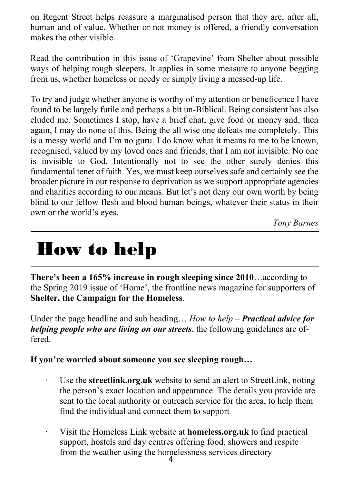on Regent Street helps reassure a marginalised person that they are, after all, human and of value. Whether or not money is offered, a friendly conversation makes the other visible.

Read the contribution in this issue of 'Grapevine' from Shelter about possible ways of helping rough sleepers. It applies in some measure to anyone begging from us, whether homeless or needy or simply living a messed-up life.

To try and judge whether anyone is worthy of my attention or beneficence I have found to be largely futile and perhaps a bit un-Biblical. Being consistent has also eluded me. Sometimes I stop, have a brief chat, give food or money and, then again, I may do none of this. Being the all wise one defeats me completely. This is a messy world and I'm no guru. I do know what it means to me to be known, recognised, valued by my loved ones and friends, that I am not invisible. No one is invisible to God. Intentionally not to see the other surely denies this fundamental tenet of faith. Yes, we must keep ourselves safe and certainly see the broader picture in our response to deprivation as we support appropriate agencies and charities according to our means. But let's not deny our own worth by being blind to our fellow flesh and blood human beings, whatever their status in their own or the world's eyes.

*Tony Barnes*

### **How to help**

**There's been a 165% increase in rough sleeping since 2010**…according to the Spring 2019 issue of 'Home', the frontline news magazine for supporters of **Shelter, the Campaign for the Homeless**.

Under the page headline and sub heading….*How to help – Practical advice for helping people who are living on our streets*, the following guidelines are offered.

**If you're worried about someone you see sleeping rough…**

- Use the **streetlink.org.uk** website to send an alert to StreetLink, noting the person's exact location and appearance. The details you provide are sent to the local authority or outreach service for the area, to help them find the individual and connect them to support
- from the weather using the homelessness services directory Visit the Homeless Link website at **homeless.org.uk** to find practical support, hostels and day centres offering food, showers and respite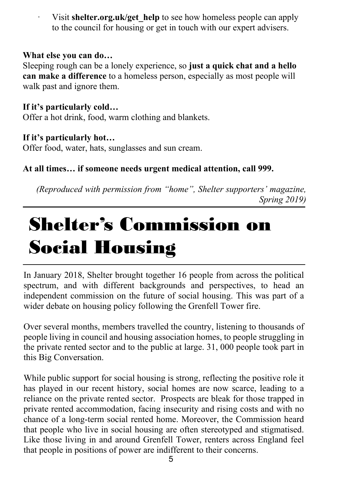Visit **shelter.org.uk/get** help to see how homeless people can apply to the council for housing or get in touch with our expert advisers.

#### **What else you can do…**

Sleeping rough can be a lonely experience, so **just a quick chat and a hello can make a difference** to a homeless person, especially as most people will walk past and ignore them.

#### **If it's particularly cold…**

Offer a hot drink, food, warm clothing and blankets.

#### **If it's particularly hot…**

Offer food, water, hats, sunglasses and sun cream.

### **At all times… if someone needs urgent medical attention, call 999.**

*(Reproduced with permission from "home", Shelter supporters' magazine, Spring 2019)*

### **Shelter's Commission on Social Housing**

In January 2018, Shelter brought together 16 people from across the political spectrum, and with different backgrounds and perspectives, to head an independent commission on the future of social housing. This was part of a wider debate on housing policy following the Grenfell Tower fire.

Over several months, members travelled the country, listening to thousands of people living in council and housing association homes, to people struggling in the private rented sector and to the public at large. 31, 000 people took part in this Big Conversation.

While public support for social housing is strong, reflecting the positive role it has played in our recent history, social homes are now scarce, leading to a reliance on the private rented sector. Prospects are bleak for those trapped in private rented accommodation, facing insecurity and rising costs and with no chance of a long-term social rented home. Moreover, the Commission heard that people who live in social housing are often stereotyped and stigmatised. Like those living in and around Grenfell Tower, renters across England feel that people in positions of power are indifferent to their concerns.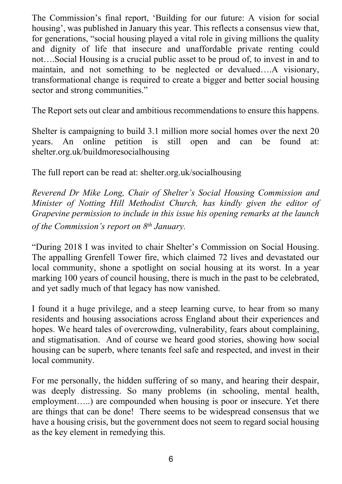The Commission's final report, 'Building for our future: A vision for social housing', was published in January this year. This reflects a consensus view that, for generations, "social housing played a vital role in giving millions the quality and dignity of life that insecure and unaffordable private renting could not….Social Housing is a crucial public asset to be proud of, to invest in and to maintain, and not something to be neglected or devalued….A visionary, transformational change is required to create a bigger and better social housing sector and strong communities."

The Report sets out clear and ambitious recommendations to ensure this happens.

Shelter is campaigning to build 3.1 million more social homes over the next 20 years. An online petition is still open and can be found at: shelter.org.uk/buildmoresocialhousing

The full report can be read at: shelter.org.uk/socialhousing

*Reverend Dr Mike Long, Chair of Shelter's Social Housing Commission and Minister of Notting Hill Methodist Church, has kindly given the editor of Grapevine permission to include in this issue his opening remarks at the launch of the Commission's report on 8th January.*

"During 2018 I was invited to chair Shelter's Commission on Social Housing. The appalling Grenfell Tower fire, which claimed 72 lives and devastated our local community, shone a spotlight on social housing at its worst. In a year marking 100 years of council housing, there is much in the past to be celebrated, and yet sadly much of that legacy has now vanished.

I found it a huge privilege, and a steep learning curve, to hear from so many residents and housing associations across England about their experiences and hopes. We heard tales of overcrowding, vulnerability, fears about complaining, and stigmatisation. And of course we heard good stories, showing how social housing can be superb, where tenants feel safe and respected, and invest in their local community.

For me personally, the hidden suffering of so many, and hearing their despair, was deeply distressing. So many problems (in schooling, mental health, employment.....) are compounded when housing is poor or insecure. Yet there are things that can be done! There seems to be widespread consensus that we have a housing crisis, but the government does not seem to regard social housing as the key element in remedying this.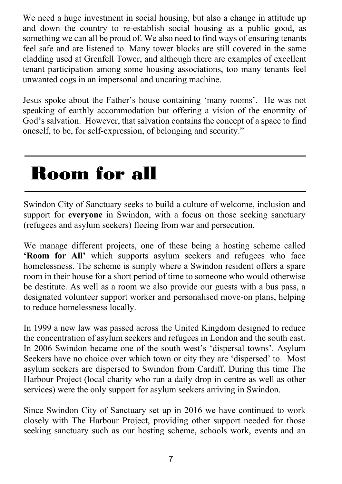We need a huge investment in social housing, but also a change in attitude up and down the country to re-establish social housing as a public good, as something we can all be proud of. We also need to find ways of ensuring tenants feel safe and are listened to. Many tower blocks are still covered in the same cladding used at Grenfell Tower, and although there are examples of excellent tenant participation among some housing associations, too many tenants feel unwanted cogs in an impersonal and uncaring machine.

Jesus spoke about the Father's house containing 'many rooms'. He was not speaking of earthly accommodation but offering a vision of the enormity of God's salvation. However, that salvation contains the concept of a space to find oneself, to be, for self-expression, of belonging and security."

### **Room for all**

Swindon City of Sanctuary seeks to build a culture of welcome, inclusion and support for **everyone** in Swindon, with a focus on those seeking sanctuary (refugees and asylum seekers) fleeing from war and persecution.

We manage different projects, one of these being a hosting scheme called **'Room for All'** which supports asylum seekers and refugees who face homelessness. The scheme is simply where a Swindon resident offers a spare room in their house for a short period of time to someone who would otherwise be destitute. As well as a room we also provide our guests with a bus pass, a designated volunteer support worker and personalised move-on plans, helping to reduce homelessness locally.

In 1999 a new law was passed across the United Kingdom designed to reduce the concentration of asylum seekers and refugees in London and the south east. In 2006 Swindon became one of the south west's 'dispersal towns'. Asylum Seekers have no choice over which town or city they are 'dispersed' to. Most asylum seekers are dispersed to Swindon from Cardiff. During this time The Harbour Project (local charity who run a daily drop in centre as well as other services) were the only support for asylum seekers arriving in Swindon.

Since Swindon City of Sanctuary set up in 2016 we have continued to work closely with The Harbour Project, providing other support needed for those seeking sanctuary such as our hosting scheme, schools work, events and an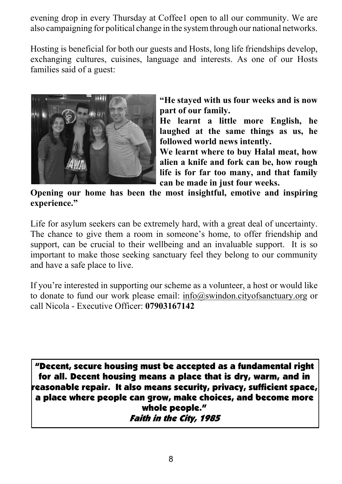evening drop in every Thursday at Coffee1 open to all our community. We are also campaigning for political change in the system through our national networks.

Hosting is beneficial for both our guests and Hosts, long life friendships develop, exchanging cultures, cuisines, language and interests. As one of our Hosts families said of a guest:



**"He stayed with us four weeks and is now part of our family.**

**He learnt a little more English, he laughed at the same things as us, he followed world news intently.**

**We learnt where to buy Halal meat, how alien a knife and fork can be, how rough life is for far too many, and that family can be made in just four weeks.**

**Opening our home has been the most insightful, emotive and inspiring experience."**

Life for asylum seekers can be extremely hard, with a great deal of uncertainty. The chance to give them a room in someone's home, to offer friendship and support, can be crucial to their wellbeing and an invaluable support. It is so important to make those seeking sanctuary feel they belong to our community and have a safe place to live.

If you're interested in supporting our scheme as a volunteer, a host or would like to donate to fund our work please email: info@swindon.cityofsanctuary.org or call Nicola - Executive Officer: **07903167142**

"Decent, secure housing must be accepted as a fundamental right for all. Decent housing means a place that is dry, warm, and in reasonable repair. It also means security, privacy, sufficient space,  $\overline{\phantom{a}}$ a place where people can grow, make choices, and become more whole people."<br>*Faith in the City, 1985*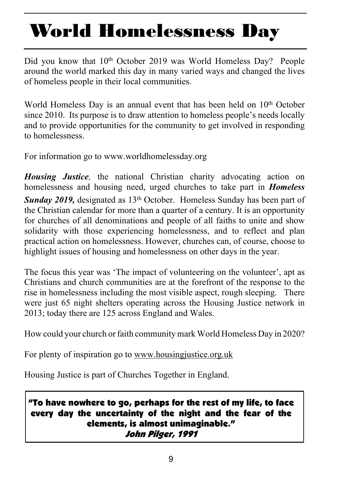## **World Homelessness Day**

Did you know that 10<sup>th</sup> October 2019 was World Homeless Day? People around the world marked this day in many varied ways and changed the lives of homeless people in their local communities.

World Homeless Day is an annual event that has been held on 10<sup>th</sup> October since 2010. Its purpose is to draw attention to homeless people's needs locally and to provide opportunities for the community to get involved in responding to homelessness.

For information go to www.worldhomelessday.org

*Housing Justice,* the national Christian charity advocating action on homelessness and housing need, urged churches to take part in *Homeless* **Sunday 2019,** designated as 13<sup>th</sup> October. Homeless Sunday has been part of the Christian calendar for more than a quarter of a century. It is an opportunity for churches of all denominations and people of all faiths to unite and show solidarity with those experiencing homelessness, and to reflect and plan practical action on homelessness. However, churches can, of course, choose to highlight issues of housing and homelessness on other days in the year.

The focus this year was 'The impact of volunteering on the volunteer', apt as Christians and church communities are at the forefront of the response to the rise in homelessness including the most visible aspect, rough sleeping. There were just 65 night shelters operating across the Housing Justice network in 2013; today there are 125 across England and Wales.

How could your church or faith community mark World Homeless Day in 2020?

For plenty of inspiration go to www.housingjustice.org.uk

Housing Justice is part of Churches Together in England.

### "To have nowhere to go, perhaps for the rest of my life, to face every day the uncertainty of the night and the fear of the elements, is almost unimaginable."John Pilger, 1991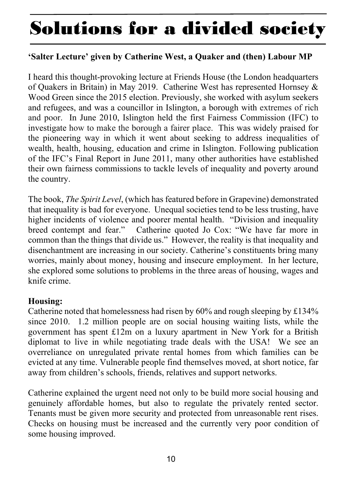### **Solutions for a divided society**

#### **'Salter Lecture' given by Catherine West, a Quaker and (then) Labour MP**

I heard this thought-provoking lecture at Friends House (the London headquarters of Quakers in Britain) in May 2019. Catherine West has represented Hornsey & Wood Green since the 2015 election. Previously, she worked with asylum seekers and refugees, and was a councillor in Islington, a borough with extremes of rich and poor. In June 2010, Islington held the first Fairness Commission (IFC) to investigate how to make the borough a fairer place. This was widely praised for the pioneering way in which it went about seeking to address inequalities of wealth, health, housing, education and crime in Islington. Following publication of the IFC's Final Report in June 2011, many other authorities have established their own fairness commissions to tackle levels of inequality and poverty around the country.

The book, *The Spirit Level*, (which has featured before in Grapevine) demonstrated that inequality is bad for everyone. Unequal societies tend to be less trusting, have higher incidents of violence and poorer mental health. "Division and inequality breed contempt and fear." Catherine quoted Jo Cox: "We have far more in common than the things that divide us." However, the reality is that inequality and disenchantment are increasing in our society. Catherine's constituents bring many worries, mainly about money, housing and insecure employment. In her lecture, she explored some solutions to problems in the three areas of housing, wages and knife crime.

#### **Housing:**

Catherine noted that homelessness had risen by 60% and rough sleeping by £134% since 2010. 1.2 million people are on social housing waiting lists, while the government has spent £12m on a luxury apartment in New York for a British diplomat to live in while negotiating trade deals with the USA! We see an overreliance on unregulated private rental homes from which families can be evicted at any time. Vulnerable people find themselves moved, at short notice, far away from children's schools, friends, relatives and support networks.

Catherine explained the urgent need not only to be build more social housing and genuinely affordable homes, but also to regulate the privately rented sector. Tenants must be given more security and protected from unreasonable rent rises. Checks on housing must be increased and the currently very poor condition of some housing improved.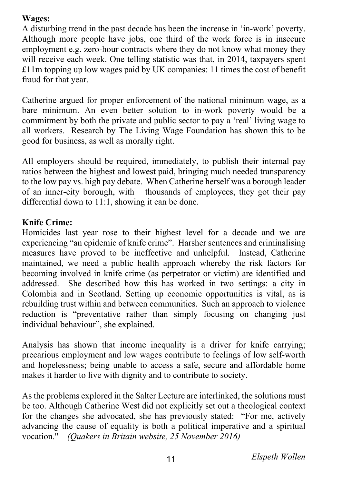### **Wages:**

A disturbing trend in the past decade has been the increase in 'in-work' poverty. Although more people have jobs, one third of the work force is in insecure employment e.g. zero-hour contracts where they do not know what money they will receive each week. One telling statistic was that, in 2014, taxpayers spent £11m topping up low wages paid by UK companies: 11 times the cost of benefit fraud for that year.

Catherine argued for proper enforcement of the national minimum wage, as a bare minimum. An even better solution to in-work poverty would be a commitment by both the private and public sector to pay a 'real' living wage to all workers. Research by The Living Wage Foundation has shown this to be good for business, as well as morally right.

All employers should be required, immediately, to publish their internal pay ratios between the highest and lowest paid, bringing much needed transparency to the low pay vs. high pay debate. When Catherine herself was a borough leader of an inner-city borough, with thousands of employees, they got their pay differential down to 11:1, showing it can be done.

### **Knife Crime:**

Homicides last year rose to their highest level for a decade and we are experiencing "an epidemic of knife crime". Harsher sentences and criminalising measures have proved to be ineffective and unhelpful. Instead, Catherine maintained, we need a public health approach whereby the risk factors for becoming involved in knife crime (as perpetrator or victim) are identified and addressed. She described how this has worked in two settings: a city in Colombia and in Scotland. Setting up economic opportunities is vital, as is rebuilding trust within and between communities. Such an approach to violence reduction is "preventative rather than simply focusing on changing just individual behaviour", she explained.

Analysis has shown that income inequality is a driver for knife carrying; precarious employment and low wages contribute to feelings of low self-worth and hopelessness; being unable to access a safe, secure and affordable home makes it harder to live with dignity and to contribute to society.

As the problems explored in the Salter Lecture are interlinked, the solutions must be too. Although Catherine West did not explicitly set out a theological context for the changes she advocated, she has previously stated: "For me, actively advancing the cause of equality is both a political imperative and a spiritual vocation." *(Quakers in Britain website, 25 November 2016)*